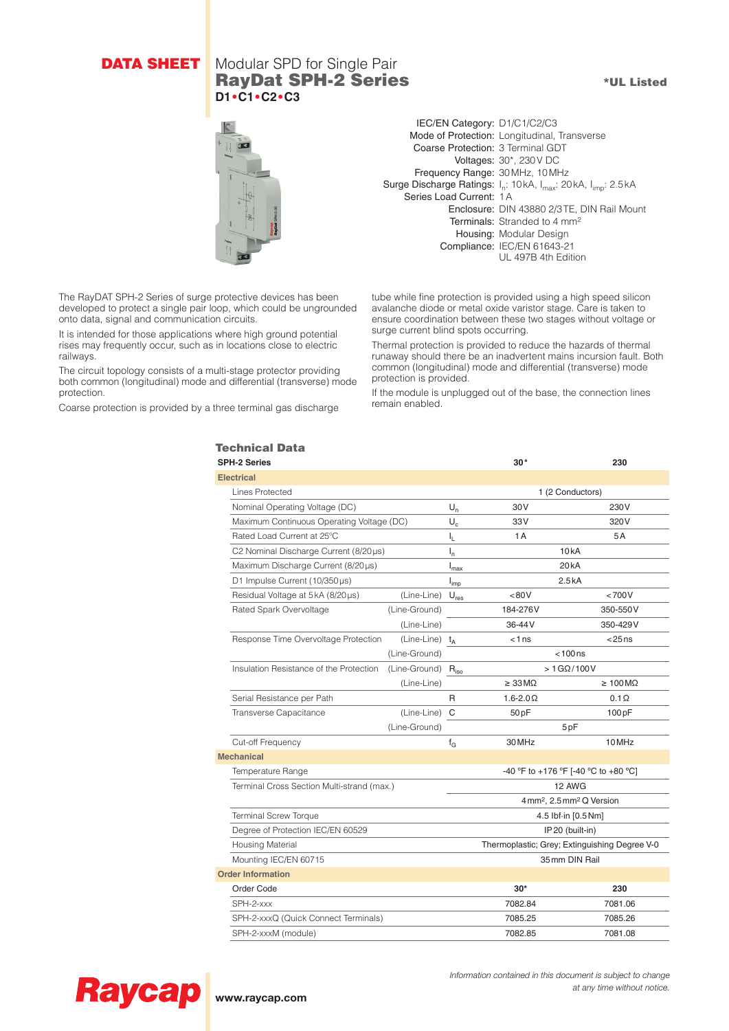## **DATA SHEET** Modular SPD for Single Pair **RayDat SPH-2 Series \*UL Listed \*UL Listed D1•C1•C2•C3**



IEC/EN Category: D1/C1/C2/C3 Mode of Protection: Longitudinal, Transverse Coarse Protection: 3 Terminal GDT Voltages: 30\*, 230V DC Frequency Range: 30MHz, 10MHz Surge Discharge Ratings: I<sub>n</sub>: 10kA, I<sub>max</sub>: 20kA, I<sub>imp</sub>: 2.5kA Series Load Current: 1A Enclosure: DIN 43880 2/3TE, DIN Rail Mount Terminals: Stranded to 4 mm<sup>2</sup> Housing: Modular Design Compliance: IEC/EN 61643-21 UL 497B 4th Edition

tube while fine protection is provided using a high speed silicon avalanche diode or metal oxide varistor stage. Care is taken to ensure coordination between these two stages without voltage or surge current blind spots occurring.

Thermal protection is provided to reduce the hazards of thermal runaway should there be an inadvertent mains incursion fault. Both common (longitudinal) mode and differential (transverse) mode protection is provided.

If the module is unplugged out of the base, the connection lines remain enabled.

# Technical Data

| <b>SPH-2 Series</b>                        |                                |                         | 30*                                               | 230                         |
|--------------------------------------------|--------------------------------|-------------------------|---------------------------------------------------|-----------------------------|
| <b>Electrical</b>                          |                                |                         |                                                   |                             |
| <b>Lines Protected</b>                     |                                |                         | 1 (2 Conductors)                                  |                             |
| Nominal Operating Voltage (DC)             |                                | $U_n$                   | 30 <sub>V</sub>                                   | 230V                        |
| Maximum Continuous Operating Voltage (DC)  |                                | $U_c$                   | 33V                                               | 320V                        |
| Rated Load Current at 25°C                 |                                | I <sub>L</sub>          | 1A                                                | 5A                          |
| C2 Nominal Discharge Current (8/20µs)      |                                | $\mathsf{I}_\mathsf{n}$ | 10kA                                              |                             |
| Maximum Discharge Current (8/20µs)         |                                | $I_{\text{max}}$        | 20kA                                              |                             |
| D1 Impulse Current (10/350µs)              |                                | $I_{imp}$               | 2.5kA                                             |                             |
| Residual Voltage at 5kA (8/20µs)           | (Line-Line)                    | $U_{res}$               | < 80V                                             | < 700V                      |
| Rated Spark Overvoltage                    | (Line-Ground)                  |                         | 184-276V                                          | 350-550V                    |
|                                            | (Line-Line)                    |                         | 36-44V                                            | 350-429V                    |
| Response Time Overvoltage Protection       | (Line-Line) $t_A$              |                         | < 1ns                                             | $< 25$ ns                   |
|                                            | (Line-Ground)                  |                         | $< 100$ ns                                        |                             |
| Insulation Resistance of the Protection    | (Line-Ground) R <sub>iso</sub> |                         | $>1$ G $\Omega/100$ V                             |                             |
|                                            | (Line-Line)                    |                         | $\geq 33 \,\mathrm{M}\Omega$                      | $\geq 100 \,\text{M}\Omega$ |
| Serial Resistance per Path                 |                                | R                       | $1.6 - 2.0 \Omega$                                | $0.1\Omega$                 |
| Transverse Capacitance                     | (Line-Line) C                  |                         | 50 <sub>pF</sub>                                  | 100pF                       |
|                                            | (Line-Ground)                  |                         | 5pF                                               |                             |
| Cut-off Frequency                          |                                | $f_G$                   | 30 MHz                                            | 10 MHz                      |
| <b>Mechanical</b>                          |                                |                         |                                                   |                             |
| Temperature Range                          |                                |                         | -40 °F to +176 °F [-40 °C to +80 °C]              |                             |
| Terminal Cross Section Multi-strand (max.) |                                |                         | 12 AWG                                            |                             |
|                                            |                                |                         | 4 mm <sup>2</sup> , 2.5 mm <sup>2</sup> Q Version |                             |
| <b>Terminal Screw Torque</b>               |                                |                         | 4.5 lbf-in [0.5 Nm]                               |                             |
| Degree of Protection IEC/EN 60529          |                                |                         | IP20 (built-in)                                   |                             |
| <b>Housing Material</b>                    |                                |                         | Thermoplastic; Grey; Extinguishing Degree V-0     |                             |
| Mounting IEC/EN 60715                      |                                |                         | 35 mm DIN Rail                                    |                             |
| <b>Order Information</b>                   |                                |                         |                                                   |                             |
| Order Code                                 |                                |                         | $30*$                                             | 230                         |
| SPH-2-xxx                                  |                                |                         | 7082.84                                           | 7081.06                     |
| SPH-2-xxxQ (Quick Connect Terminals)       |                                |                         | 7085.25                                           | 7085.26                     |
| SPH-2-xxxM (module)                        |                                |                         | 7082.85                                           | 7081.08                     |

The RayDAT SPH-2 Series of surge protective devices has been developed to protect a single pair loop, which could be ungrounded onto data, signal and communication circuits.

It is intended for those applications where high ground potential rises may frequently occur, such as in locations close to electric railways.

The circuit topology consists of a multi-stage protector providing both common (longitudinal) mode and differential (transverse) mode protection.

Coarse protection is provided by a three terminal gas discharge